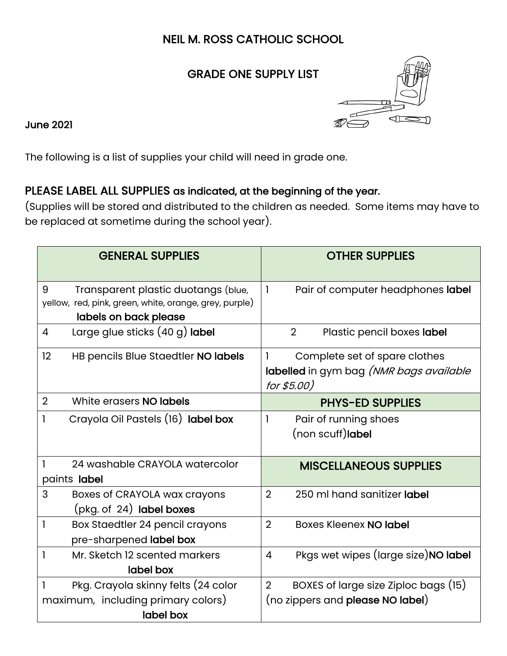## NEIL M. ROSS CATHOLIC SCHOOL

## GRADE ONE SUPPLY LIST



June 2021

The following is a list of supplies your child will need in grade one.

## PLEASE LABEL ALL SUPPLIES as indicated, at the beginning of the year.

(Supplies will be stored and distributed to the children as needed. Some items may have to be replaced at sometime during the school year).

| <b>GENERAL SUPPLIES</b>                                                                                                     | <b>OTHER SUPPLIES</b>                                                                          |  |  |
|-----------------------------------------------------------------------------------------------------------------------------|------------------------------------------------------------------------------------------------|--|--|
| 9<br>Transparent plastic duotangs (blue,<br>yellow, red, pink, green, white, orange, grey, purple)<br>labels on back please | Pair of computer headphones label<br>1                                                         |  |  |
| Large glue sticks (40 g) label<br>$\overline{4}$                                                                            | $\overline{2}$<br>Plastic pencil boxes label                                                   |  |  |
| 12<br>HB pencils Blue Staedtler NO labels                                                                                   | Complete set of spare clothes<br>1<br>labelled in gym bag (NMR bags available<br>for $$5.00$ ) |  |  |
| $\overline{2}$<br>White erasers NO labels                                                                                   | <b>PHYS-ED SUPPLIES</b>                                                                        |  |  |
| Crayola Oil Pastels (16) label box<br>1                                                                                     | 1<br>Pair of running shoes<br>(non scuff) label                                                |  |  |
| 1<br>24 washable CRAYOLA watercolor<br>paints label                                                                         | <b>MISCELLANEOUS SUPPLIES</b>                                                                  |  |  |
| 3<br>Boxes of CRAYOLA wax crayons<br>(pkg. of 24) label boxes                                                               | $\overline{2}$<br>250 ml hand sanitizer label                                                  |  |  |
| 1<br>Box Staedtler 24 pencil crayons<br>pre-sharpened label box                                                             | $\overline{2}$<br><b>Boxes Kleenex NO label</b>                                                |  |  |
| Mr. Sketch 12 scented markers<br>1<br>label box                                                                             | Pkgs wet wipes (large size) NO label<br>4                                                      |  |  |
| Pkg. Crayola skinny felts (24 color<br>1                                                                                    | $\overline{2}$<br>BOXES of large size Ziploc bags (15)                                         |  |  |
| maximum, including primary colors)<br>label box                                                                             | (no zippers and please NO label)                                                               |  |  |